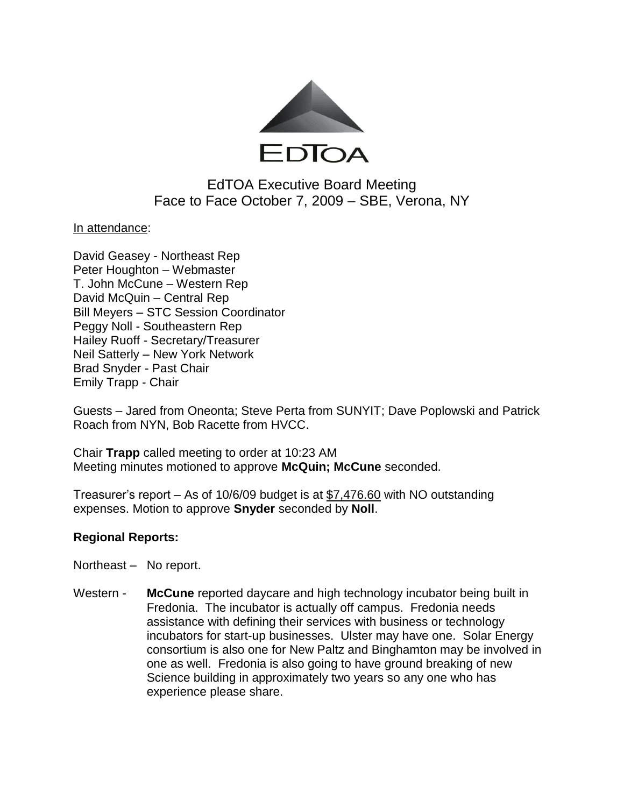

# EdTOA Executive Board Meeting Face to Face October 7, 2009 – SBE, Verona, NY

In attendance:

David Geasey - Northeast Rep Peter Houghton – Webmaster T. John McCune – Western Rep David McQuin – Central Rep Bill Meyers – STC Session Coordinator Peggy Noll - Southeastern Rep Hailey Ruoff - Secretary/Treasurer Neil Satterly – New York Network Brad Snyder - Past Chair Emily Trapp - Chair

Guests – Jared from Oneonta; Steve Perta from SUNYIT; Dave Poplowski and Patrick Roach from NYN, Bob Racette from HVCC.

Chair **Trapp** called meeting to order at 10:23 AM Meeting minutes motioned to approve **McQuin; McCune** seconded.

Treasurer's report – As of 10/6/09 budget is at \$7,476.60 with NO outstanding expenses. Motion to approve **Snyder** seconded by **Noll**.

## **Regional Reports:**

- Northeast No report.
- Western **McCune** reported daycare and high technology incubator being built in Fredonia. The incubator is actually off campus. Fredonia needs assistance with defining their services with business or technology incubators for start-up businesses. Ulster may have one. Solar Energy consortium is also one for New Paltz and Binghamton may be involved in one as well. Fredonia is also going to have ground breaking of new Science building in approximately two years so any one who has experience please share.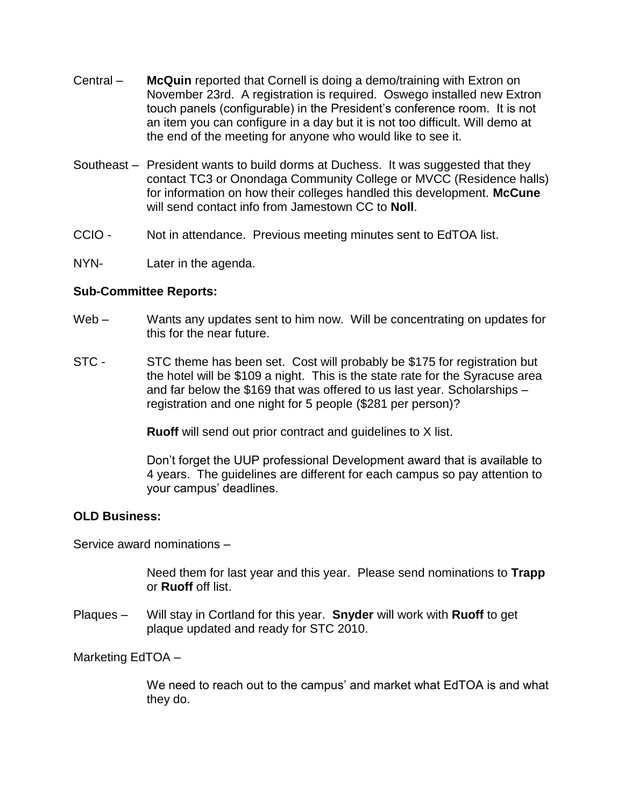- Central **McQuin** reported that Cornell is doing a demo/training with Extron on November 23rd. A registration is required. Oswego installed new Extron touch panels (configurable) in the President's conference room. It is not an item you can configure in a day but it is not too difficult. Will demo at the end of the meeting for anyone who would like to see it.
- Southeast President wants to build dorms at Duchess. It was suggested that they contact TC3 or Onondaga Community College or MVCC (Residence halls) for information on how their colleges handled this development. **McCune**  will send contact info from Jamestown CC to **Noll**.
- CCIO Not in attendance. Previous meeting minutes sent to EdTOA list.
- NYN- Later in the agenda.

### **Sub-Committee Reports:**

- Web Wants any updates sent to him now. Will be concentrating on updates for this for the near future.
- STC STC theme has been set. Cost will probably be \$175 for registration but the hotel will be \$109 a night. This is the state rate for the Syracuse area and far below the \$169 that was offered to us last year. Scholarships – registration and one night for 5 people (\$281 per person)?

**Ruoff** will send out prior contract and guidelines to X list.

Don't forget the UUP professional Development award that is available to 4 years. The guidelines are different for each campus so pay attention to your campus' deadlines.

#### **OLD Business:**

Service award nominations –

Need them for last year and this year. Please send nominations to **Trapp**  or **Ruoff** off list.

Plaques – Will stay in Cortland for this year. **Snyder** will work with **Ruoff** to get plaque updated and ready for STC 2010.

Marketing EdTOA –

We need to reach out to the campus' and market what EdTOA is and what they do.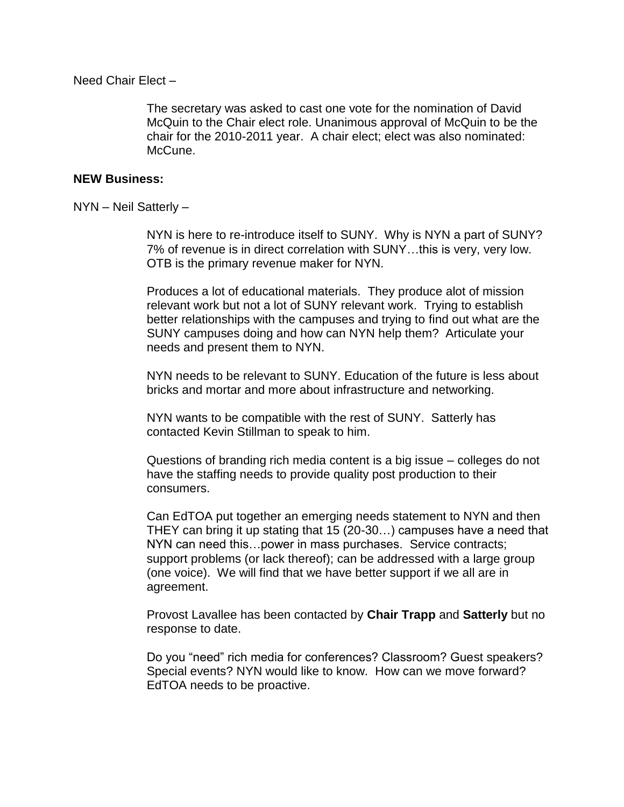Need Chair Elect –

The secretary was asked to cast one vote for the nomination of David McQuin to the Chair elect role. Unanimous approval of McQuin to be the chair for the 2010-2011 year. A chair elect; elect was also nominated: McCune.

#### **NEW Business:**

NYN – Neil Satterly –

NYN is here to re-introduce itself to SUNY. Why is NYN a part of SUNY? 7% of revenue is in direct correlation with SUNY…this is very, very low. OTB is the primary revenue maker for NYN.

Produces a lot of educational materials. They produce alot of mission relevant work but not a lot of SUNY relevant work. Trying to establish better relationships with the campuses and trying to find out what are the SUNY campuses doing and how can NYN help them? Articulate your needs and present them to NYN.

NYN needs to be relevant to SUNY. Education of the future is less about bricks and mortar and more about infrastructure and networking.

NYN wants to be compatible with the rest of SUNY. Satterly has contacted Kevin Stillman to speak to him.

Questions of branding rich media content is a big issue – colleges do not have the staffing needs to provide quality post production to their consumers.

Can EdTOA put together an emerging needs statement to NYN and then THEY can bring it up stating that 15 (20-30…) campuses have a need that NYN can need this…power in mass purchases. Service contracts; support problems (or lack thereof); can be addressed with a large group (one voice). We will find that we have better support if we all are in agreement.

Provost Lavallee has been contacted by **Chair Trapp** and **Satterly** but no response to date.

Do you "need" rich media for conferences? Classroom? Guest speakers? Special events? NYN would like to know. How can we move forward? EdTOA needs to be proactive.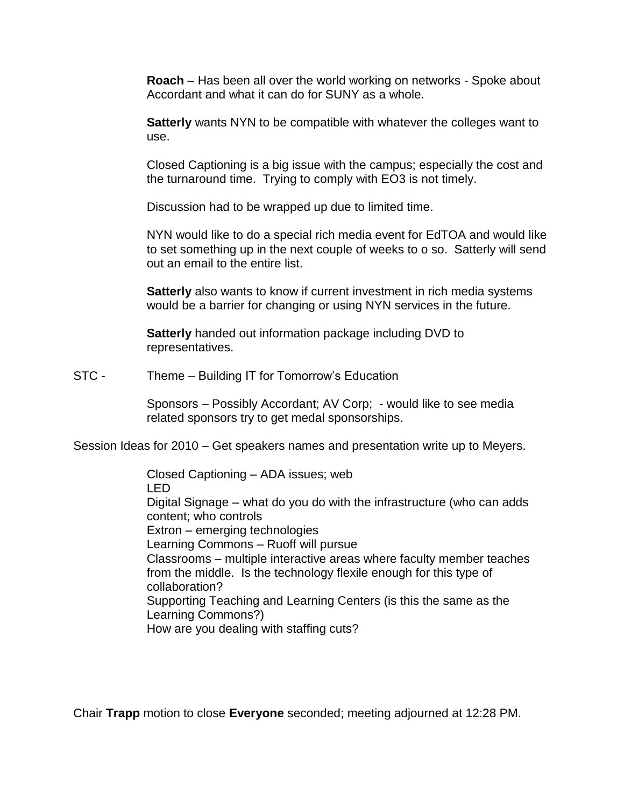**Roach** – Has been all over the world working on networks - Spoke about Accordant and what it can do for SUNY as a whole.

**Satterly** wants NYN to be compatible with whatever the colleges want to use.

Closed Captioning is a big issue with the campus; especially the cost and the turnaround time. Trying to comply with EO3 is not timely.

Discussion had to be wrapped up due to limited time.

NYN would like to do a special rich media event for EdTOA and would like to set something up in the next couple of weeks to o so. Satterly will send out an email to the entire list.

**Satterly** also wants to know if current investment in rich media systems would be a barrier for changing or using NYN services in the future.

**Satterly** handed out information package including DVD to representatives.

STC - Theme – Building IT for Tomorrow's Education

Sponsors – Possibly Accordant; AV Corp; - would like to see media related sponsors try to get medal sponsorships.

Session Ideas for 2010 – Get speakers names and presentation write up to Meyers.

Closed Captioning – ADA issues; web LED Digital Signage – what do you do with the infrastructure (who can adds content; who controls Extron – emerging technologies Learning Commons – Ruoff will pursue Classrooms – multiple interactive areas where faculty member teaches from the middle. Is the technology flexile enough for this type of collaboration? Supporting Teaching and Learning Centers (is this the same as the Learning Commons?) How are you dealing with staffing cuts?

Chair **Trapp** motion to close **Everyone** seconded; meeting adjourned at 12:28 PM.